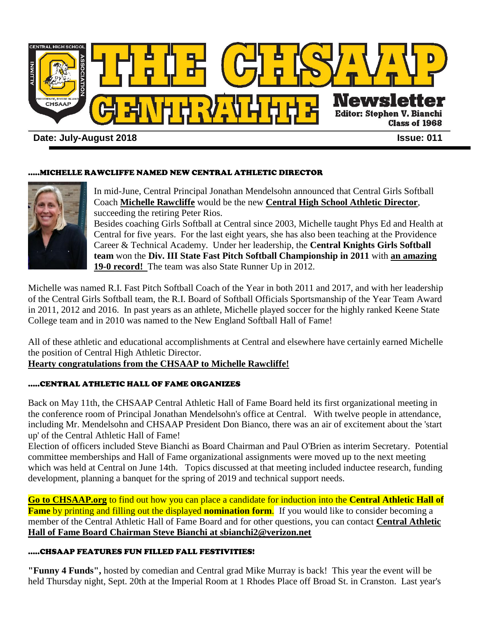

# **Date: July-August 2018 Issue: 011**

## .....MICHELLE RAWCLIFFE NAMED NEW CENTRAL ATHLETIC DIRECTOR



In mid-June, Central Principal Jonathan Mendelsohn announced that Central Girls Softball Coach **Michelle Rawcliffe** would be the new **Central High School Athletic Director**, succeeding the retiring Peter Rios.

Besides coaching Girls Softball at Central since 2003, Michelle taught Phys Ed and Health at Central for five years. For the last eight years, she has also been teaching at the Providence Career & Technical Academy. Under her leadership, the **Central Knights Girls Softball team** won the **Div. III State Fast Pitch Softball Championship in 2011** with **an amazing 19-0 record!** The team was also State Runner Up in 2012.

Michelle was named R.I. Fast Pitch Softball Coach of the Year in both 2011 and 2017, and with her leadership of the Central Girls Softball team, the R.I. Board of Softball Officials Sportsmanship of the Year Team Award in 2011, 2012 and 2016. In past years as an athlete, Michelle played soccer for the highly ranked Keene State College team and in 2010 was named to the New England Softball Hall of Fame!

All of these athletic and educational accomplishments at Central and elsewhere have certainly earned Michelle the position of Central High Athletic Director.

# **Hearty congratulations from the CHSAAP to Michelle Rawcliffe!**

# .....CENTRAL ATHLETIC HALL OF FAME ORGANIZES

Back on May 11th, the CHSAAP Central Athletic Hall of Fame Board held its first organizational meeting in the conference room of Principal Jonathan Mendelsohn's office at Central. With twelve people in attendance, including Mr. Mendelsohn and CHSAAP President Don Bianco, there was an air of excitement about the 'start up' of the Central Athletic Hall of Fame!

Election of officers included Steve Bianchi as Board Chairman and Paul O'Brien as interim Secretary. Potential committee memberships and Hall of Fame organizational assignments were moved up to the next meeting which was held at Central on June 14th. Topics discussed at that meeting included inductee research, funding development, planning a banquet for the spring of 2019 and technical support needs.

**Go to CHSAAP.org** to find out how you can place a candidate for induction into the **Central Athletic Hall of Fame** by printing and filling out the displayed **nomination form**. If you would like to consider becoming a member of the Central Athletic Hall of Fame Board and for other questions, you can contact **Central Athletic Hall of Fame Board Chairman Steve Bianchi at sbianchi2@verizon.net** 

# .....CHSAAP FEATURES FUN FILLED FALL FESTIVITIES!

**"Funny 4 Funds",** hosted by comedian and Central grad Mike Murray is back! This year the event will be held Thursday night, Sept. 20th at the Imperial Room at 1 Rhodes Place off Broad St. in Cranston. Last year's